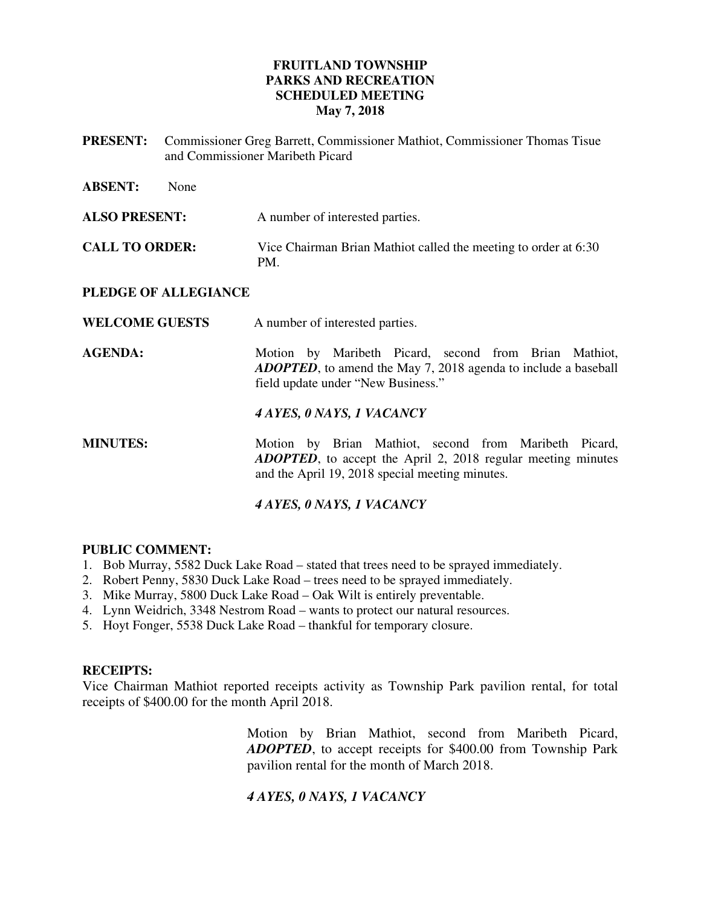## **FRUITLAND TOWNSHIP PARKS AND RECREATION SCHEDULED MEETING May 7, 2018**

**PRESENT:** Commissioner Greg Barrett, Commissioner Mathiot, Commissioner Thomas Tisue and Commissioner Maribeth Picard

| <b>ABSENT:</b><br>None |                                                                                                                                                                                  |
|------------------------|----------------------------------------------------------------------------------------------------------------------------------------------------------------------------------|
| <b>ALSO PRESENT:</b>   | A number of interested parties.                                                                                                                                                  |
| <b>CALL TO ORDER:</b>  | Vice Chairman Brian Mathiot called the meeting to order at 6:30<br>PM.                                                                                                           |
| PLEDGE OF ALLEGIANCE   |                                                                                                                                                                                  |
| <b>WELCOME GUESTS</b>  | A number of interested parties.                                                                                                                                                  |
| <b>AGENDA:</b>         | Motion by Maribeth Picard, second from Brian Mathiot,<br><b>ADOPTED</b> , to amend the May 7, 2018 agenda to include a baseball<br>field update under "New Business."            |
|                        | 4 AYES, 0 NAYS, 1 VACANCY                                                                                                                                                        |
| <b>MINUTES:</b>        | Motion by Brian Mathiot, second from Maribeth Picard,<br><b>ADOPTED</b> , to accept the April 2, 2018 regular meeting minutes<br>and the April 19, 2018 special meeting minutes. |

## *4 AYES, 0 NAYS, 1 VACANCY*

#### **PUBLIC COMMENT:**

- 1. Bob Murray, 5582 Duck Lake Road stated that trees need to be sprayed immediately.
- 2. Robert Penny, 5830 Duck Lake Road trees need to be sprayed immediately.
- 3. Mike Murray, 5800 Duck Lake Road Oak Wilt is entirely preventable.
- 4. Lynn Weidrich, 3348 Nestrom Road wants to protect our natural resources.
- 5. Hoyt Fonger, 5538 Duck Lake Road thankful for temporary closure.

#### **RECEIPTS:**

Vice Chairman Mathiot reported receipts activity as Township Park pavilion rental, for total receipts of \$400.00 for the month April 2018.

> Motion by Brian Mathiot, second from Maribeth Picard, *ADOPTED*, to accept receipts for \$400.00 from Township Park pavilion rental for the month of March 2018.

## *4 AYES, 0 NAYS, 1 VACANCY*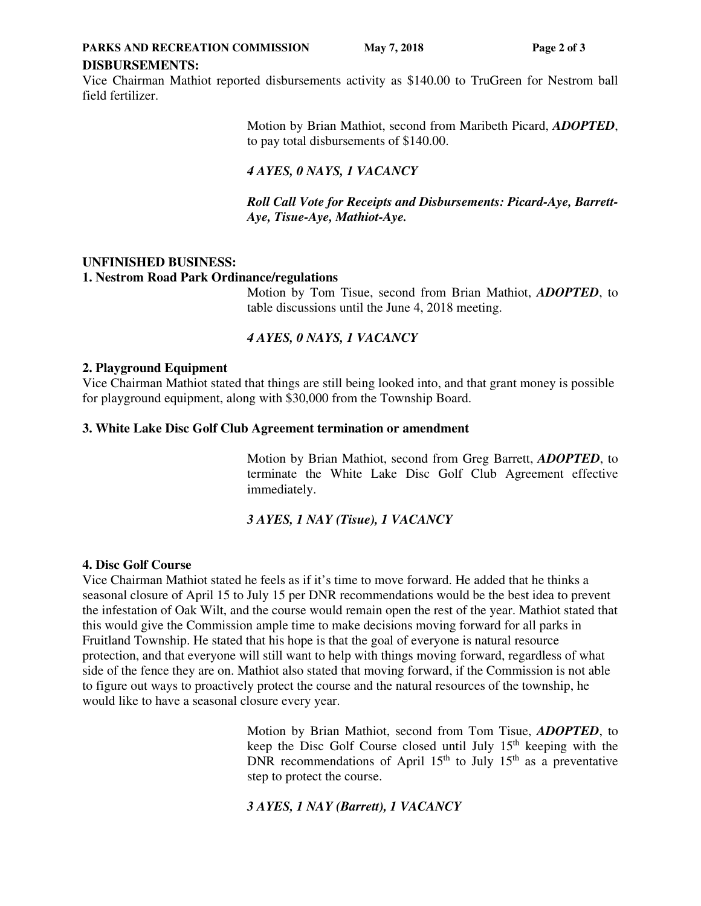**PARKS AND RECREATION COMMISSION** May 7, 2018 Page 2 of 3

#### **DISBURSEMENTS:**

Vice Chairman Mathiot reported disbursements activity as \$140.00 to TruGreen for Nestrom ball field fertilizer.

> Motion by Brian Mathiot, second from Maribeth Picard, *ADOPTED*, to pay total disbursements of \$140.00.

# *4 AYES, 0 NAYS, 1 VACANCY*

 *Roll Call Vote for Receipts and Disbursements: Picard-Aye, Barrett-Aye, Tisue-Aye, Mathiot-Aye.* 

## **UNFINISHED BUSINESS:**

#### **1. Nestrom Road Park Ordinance/regulations**

Motion by Tom Tisue, second from Brian Mathiot, *ADOPTED*, to table discussions until the June 4, 2018 meeting.

## *4 AYES, 0 NAYS, 1 VACANCY*

#### **2. Playground Equipment**

Vice Chairman Mathiot stated that things are still being looked into, and that grant money is possible for playground equipment, along with \$30,000 from the Township Board.

#### **3. White Lake Disc Golf Club Agreement termination or amendment**

Motion by Brian Mathiot, second from Greg Barrett, *ADOPTED*, to terminate the White Lake Disc Golf Club Agreement effective immediately.

## *3 AYES, 1 NAY (Tisue), 1 VACANCY*

#### **4. Disc Golf Course**

Vice Chairman Mathiot stated he feels as if it's time to move forward. He added that he thinks a seasonal closure of April 15 to July 15 per DNR recommendations would be the best idea to prevent the infestation of Oak Wilt, and the course would remain open the rest of the year. Mathiot stated that this would give the Commission ample time to make decisions moving forward for all parks in Fruitland Township. He stated that his hope is that the goal of everyone is natural resource protection, and that everyone will still want to help with things moving forward, regardless of what side of the fence they are on. Mathiot also stated that moving forward, if the Commission is not able to figure out ways to proactively protect the course and the natural resources of the township, he would like to have a seasonal closure every year.

> Motion by Brian Mathiot, second from Tom Tisue, *ADOPTED*, to keep the Disc Golf Course closed until July  $15<sup>th</sup>$  keeping with the DNR recommendations of April 15<sup>th</sup> to July 15<sup>th</sup> as a preventative step to protect the course.

## *3 AYES, 1 NAY (Barrett), 1 VACANCY*